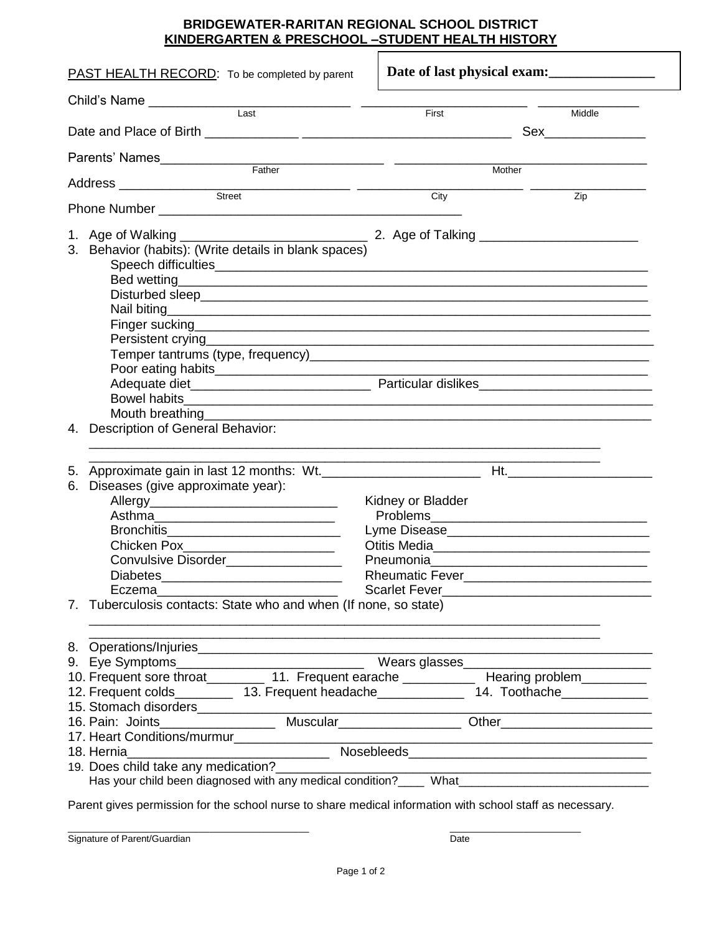## **BRIDGEWATER-RARITAN REGIONAL SCHOOL DISTRICT KINDERGARTEN & PRESCHOOL –STUDENT HEALTH HISTORY**

| PAST HEALTH RECORD: To be completed by parent                                                                                                                                                                                                                                                                                                                                                                                                                                                                                                  | Date of last physical exam:                                                                                           |
|------------------------------------------------------------------------------------------------------------------------------------------------------------------------------------------------------------------------------------------------------------------------------------------------------------------------------------------------------------------------------------------------------------------------------------------------------------------------------------------------------------------------------------------------|-----------------------------------------------------------------------------------------------------------------------|
|                                                                                                                                                                                                                                                                                                                                                                                                                                                                                                                                                |                                                                                                                       |
| Last                                                                                                                                                                                                                                                                                                                                                                                                                                                                                                                                           | First<br>Middle                                                                                                       |
|                                                                                                                                                                                                                                                                                                                                                                                                                                                                                                                                                | Sex ________________                                                                                                  |
| Parents' Names_____________<br><u> 1980 - Johann Stoff, fransk kampbeskip (* 1900)</u>                                                                                                                                                                                                                                                                                                                                                                                                                                                         |                                                                                                                       |
| Father                                                                                                                                                                                                                                                                                                                                                                                                                                                                                                                                         | Mother                                                                                                                |
|                                                                                                                                                                                                                                                                                                                                                                                                                                                                                                                                                | Zip<br>City                                                                                                           |
|                                                                                                                                                                                                                                                                                                                                                                                                                                                                                                                                                |                                                                                                                       |
| 3. Behavior (habits): (Write details in blank spaces)<br>Finger sucking the contract of the contract of the contract of the contract of the contract of the contract of<br>Mouth breathing<br><u>Mouth breathing</u>                                                                                                                                                                                                                                                                                                                           |                                                                                                                       |
| Description of General Behavior:<br>4.                                                                                                                                                                                                                                                                                                                                                                                                                                                                                                         | <u> 1989 - Johann Harry Harry Harry Harry Harry Harry Harry Harry Harry Harry Harry Harry Harry Harry Harry Harry</u> |
| Approximate gain in last 12 months: Wt.<br>5.<br>Diseases (give approximate year):<br>6.<br>Asthma ______________________________<br>Bronchitis_________________________________<br>Chicken Pox________________________<br>Convulsive Disorder__________________<br><b>Diabetes</b><br>Eczema<br>7. Tuberculosis contacts: State who and when (If none, so state)                                                                                                                                                                              | <u> 1989 - Johann Stoff, Amerikaansk politiker (</u><br>Kidney or Bladder<br><b>Rheumatic Fever</b>                   |
| 10. Frequent sore throat__________ 11. Frequent earache _____________ Hearing problem__________<br>12. Frequent colds___________ 13. Frequent headache_______________ 14. Toothache_____________<br>16. Pain: Joints Muscular Muscular Other Channel Chemical Chemical Chemical Chemical Chemical Chemical Chemical Chemical Chemical Chemical Chemical Chemical Chemical Chemical Chemical Chemical Chemical Chemical Chemical Ch<br>19. Does child take any medication?<br>Has your child been diagnosed with any medical condition?<br>What | <u> 1989 - Johann Barbara, martin amerikan basar dan basar dalam basar dalam basar dalam basar dalam basar dalam </u> |

Parent gives permission for the school nurse to share medical information with school staff as necessary.

Signature of Parent/Guardian Date Date Date